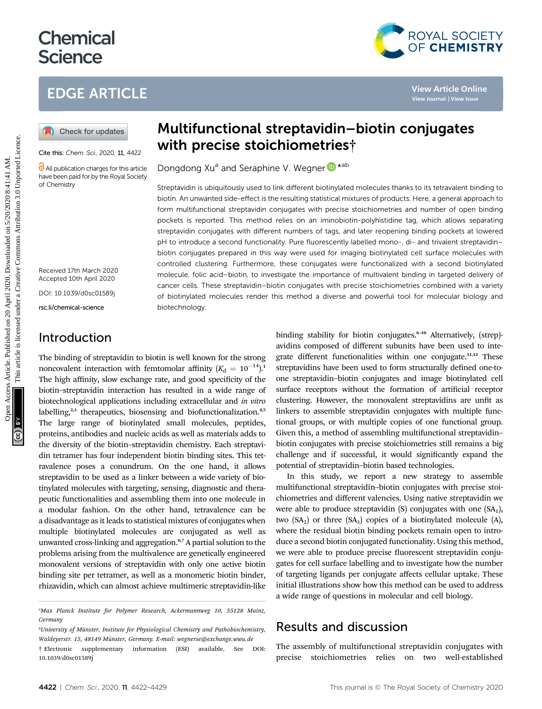# **Chemical Science**

## EDGE ARTICLE

Cite this: Chem. Sci., 2020, 11, 4422

**C** All publication charges for this article have been paid for by the Royal Society of Chemistry

Received 17th March 2020 Accepted 10th April 2020

DOI: 10.1039/d0sc01589j

rsc.li/chemical-science

### Introduction

The binding of streptavidin to biotin is well known for the strong noncovalent interaction with femtomolar affinity  $(K_d = 10^{-14})$ .<sup>1</sup> The high affinity, slow exchange rate, and good specificity of the biotin–streptavidin interaction has resulted in a wide range of biotechnological applications including extracellular and in vitro labelling,<sup>2,3</sup> therapeutics, biosensing and biofunctionalization.<sup>4,5</sup> The large range of biotinylated small molecules, peptides, proteins, antibodies and nucleic acids as well as materials adds to the diversity of the biotin–streptavidin chemistry. Each streptavidin tetramer has four independent biotin binding sites. This tetravalence poses a conundrum. On the one hand, it allows streptavidin to be used as a linker between a wide variety of biotinylated molecules with targeting, sensing, diagnostic and therapeutic functionalities and assembling them into one molecule in a modular fashion. On the other hand, tetravalence can be a disadvantage as it leads to statistical mixtures of conjugates when multiple biotinylated molecules are conjugated as well as unwanted cross-linking and aggregation.6,7 A partial solution to the problems arising from the multivalence are genetically engineered monovalent versions of streptavidin with only one active biotin binding site per tetramer, as well as a monomeric biotin binder, rhizavidin, which can almost achieve multimeric streptavidin-like

## Multifunctional streptavidin–biotin conjugates with precise stoichiometries†

Dongdong Xu<sup>a</sup> and Seraphine V. Wegner **D**<sup>\*ab</sup>

Streptavidin is ubiquitously used to link different biotinylated molecules thanks to its tetravalent binding to biotin. An unwanted side-effect is the resulting statistical mixtures of products. Here, a general approach to form multifunctional streptavidin conjugates with precise stoichiometries and number of open binding pockets is reported. This method relies on an iminobiotin-polyhistidine tag, which allows separating streptavidin conjugates with different numbers of tags, and later reopening binding pockets at lowered pH to introduce a second functionality. Pure fluorescently labelled mono-, di- and trivalent streptavidin– biotin conjugates prepared in this way were used for imaging biotinylated cell surface molecules with controlled clustering. Furthermore, these conjugates were functionalized with a second biotinylated molecule, folic acid–biotin, to investigate the importance of multivalent binding in targeted delivery of cancer cells. These streptavidin–biotin conjugates with precise stoichiometries combined with a variety of biotinylated molecules render this method a diverse and powerful tool for molecular biology and biotechnology. **EDGE ARTICLE**<br> **CO** Check for updates<br> **CO** Check for updates<br> **CO** Check for updates<br> **CO** Check for updates<br> **CO** Check for updates<br> **CO** Check for updates<br> **CO** Will **DEGE Stocic interactions**<br> **CO** Check for the set

binding stability for biotin conjugates.<sup>6-10</sup> Alternatively, (strep)avidins composed of different subunits have been used to integrate different functionalities within one conjugate.11,12 These streptavidins have been used to form structurally defined one-toone streptavidin–biotin conjugates and image biotinylated cell surface receptors without the formation of artificial receptor clustering. However, the monovalent streptavidins are unfit as linkers to assemble streptavidin conjugates with multiple functional groups, or with multiple copies of one functional group. Given this, a method of assembling multifunctional streptavidin– biotin conjugates with precise stoichiometries still remains a big challenge and if successful, it would signicantly expand the potential of streptavidin–biotin based technologies.

In this study, we report a new strategy to assemble multifunctional streptavidin–biotin conjugates with precise stoichiometries and different valencies. Using native streptavidin we were able to produce streptavidin  $(S)$  conjugates with one  $(SA<sub>1</sub>)$ , two  $(SA_2)$  or three  $(SA_3)$  copies of a biotinylated molecule  $(A)$ , where the residual biotin binding pockets remain open to introduce a second biotin conjugated functionality. Using this method, we were able to produce precise fluorescent streptavidin conjugates for cell surface labelling and to investigate how the number of targeting ligands per conjugate affects cellular uptake. These initial illustrations show how this method can be used to address a wide range of questions in molecular and cell biology.

### Results and discussion

The assembly of multifunctional streptavidin conjugates with precise stoichiometries relies on two well-established

ROYAL SOCIETY<br>OF CHEMISTRY

a Max Planck Institute for Polymer Research, Ackermannweg 10, 55128 Mainz, Germany

<sup>&</sup>lt;sup>b</sup>University of Münster, Institute for Physiological Chemistry and Pathobiochemistry, Waldeyerstr. 15, 48149 Münster, Germany. E-mail: wegnerse@exchange.wwu.de † Electronic supplementary information (ESI) available. See DOI: 10.1039/d0sc01589j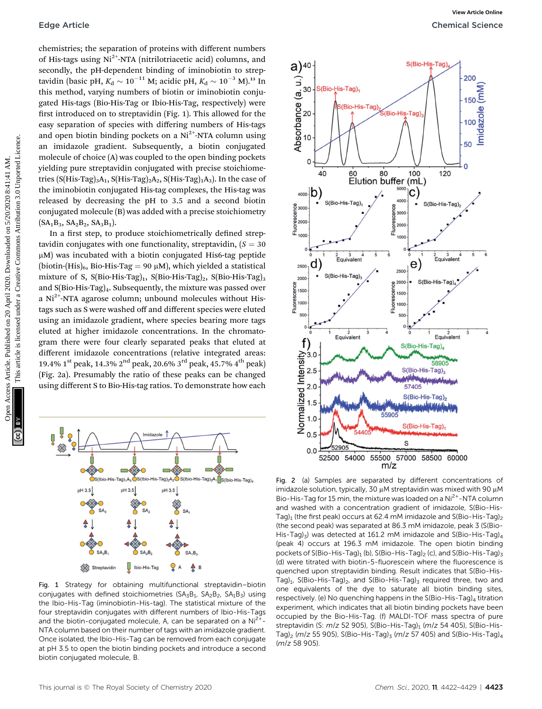chemistries; the separation of proteins with different numbers of His-tags using  $Ni<sup>2+</sup>-NTA$  (nitrilotriacetic acid) columns, and secondly, the pH-dependent binding of iminobiotin to streptavidin (basic pH,  $K_{\rm d} \sim 10^{-11}$  M; acidic pH,  $K_{\rm d} \sim 10^{-3}$  M).<sup>13</sup> In this method, varying numbers of biotin or iminobiotin conjugated His-tags (Bio-His-Tag or Ibio-His-Tag, respectively) were first introduced on to streptavidin (Fig. 1). This allowed for the easy separation of species with differing numbers of His-tags and open biotin binding pockets on a  $Ni<sup>2+</sup>-NTA$  column using an imidazole gradient. Subsequently, a biotin conjugated molecule of choice (A) was coupled to the open binding pockets yielding pure streptavidin conjugated with precise stoichiometries (S(His-Tag)<sub>3</sub>A<sub>1</sub>, S(His-Tag)<sub>2</sub>A<sub>2</sub>, S(His-Tag)<sub>1</sub>A<sub>3</sub>). In the case of the iminobiotin conjugated His-tag complexes, the His-tag was released by decreasing the pH to 3.5 and a second biotin conjugated molecule (B) was added with a precise stoichiometry  $(SA_1B_3, SA_2B_2, SA_3B_1).$ 

In a first step, to produce stoichiometrically defined streptavidin conjugates with one functionality, streptavidin,  $(S = 30$  $\mu$ M) was incubated with a biotin conjugated His6-tag peptide (biotin-(His)<sub>6</sub>, Bio-His-Tag = 90  $\mu$ M), which yielded a statistical mixture of S,  $S(Bio-His-Tag)<sub>1</sub>$ ,  $S(Bio-His-Tag)<sub>2</sub>$ ,  $S(Bio-His-Tag)<sub>3</sub>$ and S(Bio-His-Tag)4. Subsequently, the mixture was passed over a  $Ni<sup>2+</sup>-NTA$  agarose column; unbound molecules without Histags such as S were washed off and different species were eluted using an imidazole gradient, where species bearing more tags eluted at higher imidazole concentrations. In the chromatogram there were four clearly separated peaks that eluted at different imidazole concentrations (relative integrated areas: 19.4% 1<sup>st</sup> peak, 14.3% 2<sup>nd</sup> peak, 20.6% 3<sup>rd</sup> peak, 45.7% 4<sup>th</sup> peak) (Fig. 2a). Presumably the ratio of these peaks can be changed using different S to Bio-His-tag ratios. To demonstrate how each



Fig. 1 Strategy for obtaining multifunctional streptavidin–biotin conjugates with defined stoichiometries ( $SA_3B_1$ ,  $SA_2B_2$ ,  $SA_1B_3$ ) using the Ibio-His-Tag (iminobiotin-His-tag). The statistical mixture of the four streptavidin conjugates with different numbers of Ibio-His-Tags and the biotin-conjugated molecule, A, can be separated on a  $Ni<sup>2+</sup>$ -NTA column based on their number of tags with an imidazole gradient. Once isolated, the Ibio-His-Tag can be removed from each conjugate at pH 3.5 to open the biotin binding pockets and introduce a second biotin conjugated molecule, B.



Fig. 2 (a) Samples are separated by different concentrations of imidazole solution, typically, 30  $\mu$ M streptavidin was mixed with 90  $\mu$ M Bio-His-Tag for 15 min, the mixture was loaded on a  $Ni<sup>2+</sup>$ -NTA column and washed with a concentration gradient of imidazole, S(Bio-His-Tag)<sub>1</sub> (the first peak) occurs at 62.4 mM imidazole and S(Bio-His-Tag)<sub>2</sub> (the second peak) was separated at 86.3 mM imidazole, peak 3 (S(Bio-His-Tag)<sub>3</sub>) was detected at 161.2 mM imidazole and S(Bio-His-Tag)<sub>4</sub> (peak 4) occurs at 196.3 mM imidazole. The open biotin binding pockets of S(Bio-His-Tag)<sub>1</sub> (b), S(Bio-His-Tag)<sub>2</sub> (c), and S(Bio-His-Tag)<sub>3</sub> (d) were titrated with biotin-5-fluorescein where the fluorescence is quenched upon streptavidin binding. Result indicates that S(Bio-His-Tag)<sub>1</sub>, S(Bio-His-Tag)<sub>2</sub>, and S(Bio-His-Tag)<sub>3</sub> required three, two and one equivalents of the dye to saturate all biotin binding sites, respectively. (e) No quenching happens in the  $S(Bio-His-Tag)<sub>4</sub>$  titration experiment, which indicates that all biotin binding pockets have been occupied by the Bio-His-Tag. (f) MALDI-TOF mass spectra of pure streptavidin (S:  $m/z$  52 905), S(Bio-His-Tag)<sub>1</sub> ( $m/z$  54 405), S(Bio-His-Tag)<sub>2</sub> ( $m/z$  55 905), S(Bio-His-Tag)<sub>3</sub> ( $m/z$  57 405) and S(Bio-His-Tag)<sub>4</sub> (m/z 58 905).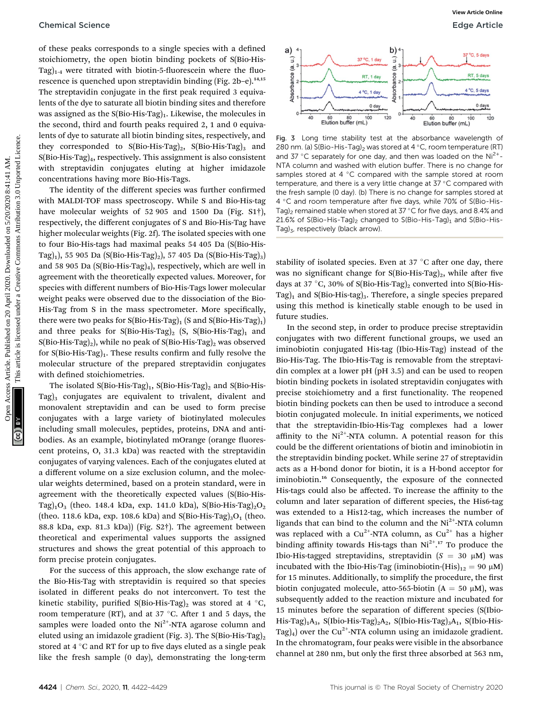of these peaks corresponds to a single species with a defined stoichiometry, the open biotin binding pockets of S(Bio-His-Tag) $_{1-4}$  were titrated with biotin-5-fluorescein where the fluorescence is quenched upon streptavidin binding (Fig. 2b-e).<sup>14,15</sup> The streptavidin conjugate in the first peak required 3 equivalents of the dye to saturate all biotin binding sites and therefore was assigned as the  $S(Bio-His-Tag)_1$ . Likewise, the molecules in the second, third and fourth peaks required 2, 1 and 0 equivalents of dye to saturate all biotin binding sites, respectively, and they corresponded to  $S(Bio-His-Tag)_2$ ,  $S(Bio-His-Tag)_3$  and  $S(Bio-His-Tag)<sub>4</sub>$ , respectively. This assignment is also consistent with streptavidin conjugates eluting at higher imidazole concentrations having more Bio-His-Tags.

The identity of the different species was further confirmed with MALDI-TOF mass spectroscopy. While S and Bio-His-tag have molecular weights of 52 905 and 1500 Da (Fig. S1†), respectively, the different conjugates of S and Bio-His-Tag have higher molecular weights (Fig. 2f). The isolated species with one to four Bio-His-tags had maximal peaks 54 405 Da (S(Bio-His-Tag)<sub>1</sub>), 55 905 Da (S(Bio-His-Tag)<sub>2</sub>), 57 405 Da (S(Bio-His-Tag)<sub>3</sub>) and 58 905 Da (S(Bio-His-Tag)<sub>4</sub>), respectively, which are well in agreement with the theoretically expected values. Moreover, for species with different numbers of Bio-His-Tags lower molecular weight peaks were observed due to the dissociation of the Bio-His-Tag from S in the mass spectrometer. More specifically, there were two peaks for  $S(Bio-His-Tag)_1$  (S and  $S(Bio-His-Tag)_1$ ) and three peaks for  $S(Bio-His-Tag)_2$  (S,  $S(Bio-His-Tag)_1$  and  $S(Bio-His-Tag)<sub>2</sub>$ , while no peak of  $S(Bio-His-Tag)<sub>2</sub>$  was observed for  $S(Bio-His-Tag)<sub>1</sub>$ . These results confirm and fully resolve the molecular structure of the prepared streptavidin conjugates with defined stoichiometries. Chemical Science<br>
The published on 20 April 2020. The results are the main spectros of S(forbid<br>
The samples are being positive common access and the same of the same of the same of the same of the same of the same of the

The isolated S(Bio-His-Tag)<sub>1</sub>, S(Bio-His-Tag)<sub>2</sub> and S(Bio-His-Tag)<sub>3</sub> conjugates are equivalent to trivalent, divalent and monovalent streptavidin and can be used to form precise conjugates with a large variety of biotinylated molecules including small molecules, peptides, proteins, DNA and antibodies. As an example, biotinylated mOrange (orange fluorescent proteins, O, 31.3 kDa) was reacted with the streptavidin conjugates of varying valences. Each of the conjugates eluted at a different volume on a size exclusion column, and the molecular weights determined, based on a protein standard, were in agreement with the theoretically expected values (S(Bio-His-Tag)<sub>1</sub>O<sub>3</sub> (theo. 148.4 kDa, exp. 141.0 kDa), S(Bio-His-Tag)<sub>2</sub>O<sub>2</sub> (theo. 118.6 kDa, exp. 108.6 kDa) and S(Bio-His-Tag)<sub>3</sub>O<sub>1</sub> (theo. 88.8 kDa, exp. 81.3 kDa)) (Fig. S2†). The agreement between theoretical and experimental values supports the assigned structures and shows the great potential of this approach to form precise protein conjugates.

For the success of this approach, the slow exchange rate of the Bio-His-Tag with streptavidin is required so that species isolated in different peaks do not interconvert. To test the kinetic stability, purified S(Bio-His-Tag)<sub>2</sub> was stored at 4 °C, room temperature (RT), and at 37  $\degree$ C. After 1 and 5 days, the samples were loaded onto the  $Ni<sup>2+</sup>$ -NTA agarose column and eluted using an imidazole gradient (Fig. 3). The  $S(Bio-His-Tag)_2$ stored at  $4^{\circ}$ C and RT for up to five days eluted as a single peak like the fresh sample (0 day), demonstrating the long-term



Fig. 3 Long time stability test at the absorbance wavelength of 280 nm. (a) S(Bio-His-Tag)<sub>2</sub> was stored at 4 °C, room temperature (RT) and 37 °C separately for one day, and then was loaded on the  $Ni<sup>2+</sup>$ -NTA column and washed with elution buffer. There is no change for samples stored at 4  $\degree$ C compared with the sample stored at room temperature, and there is a very little change at  $37^{\circ}$ C compared with the fresh sample (0 day). (b) There is no change for samples stored at 4 °C and room temperature after five days, while 70% of S(Bio-His-Tag)<sub>2</sub> remained stable when stored at 37 °C for five days, and 8.4% and 21.6% of S(Bio-His-Tag)<sub>2</sub> changed to S(Bio-His-Tag)<sub>1</sub> and S(Bio-His-Tag) $_3$ , respectively (black arrow).

stability of isolated species. Even at 37  $\degree$ C after one day, there was no significant change for  $S(Bio-His-Tag)_2$ , while after five days at 37 °C, 30% of S(Bio-His-Tag)<sub>2</sub> converted into S(Bio-His-Tag)<sub>1</sub> and S(Bio-His-tag)<sub>3</sub>. Therefore, a single species prepared using this method is kinetically stable enough to be used in future studies.

In the second step, in order to produce precise streptavidin conjugates with two different functional groups, we used an iminobiotin conjugated His-tag (Ibio-His-Tag) instead of the Bio-His-Tag. The Ibio-His-Tag is removable from the streptavidin complex at a lower pH (pH 3.5) and can be used to reopen biotin binding pockets in isolated streptavidin conjugates with precise stoichiometry and a first functionality. The reopened biotin binding pockets can then be used to introduce a second biotin conjugated molecule. In initial experiments, we noticed that the streptavidin-Ibio-His-Tag complexes had a lower affinity to the  $Ni^{2+}$ -NTA column. A potential reason for this could be the different orientations of biotin and iminobiotin in the streptavidin binding pocket. While serine 27 of streptavidin acts as a H-bond donor for biotin, it is a H-bond acceptor for iminobiotin.<sup>16</sup> Consequently, the exposure of the connected His-tags could also be affected. To increase the affinity to the column and later separation of different species, the His6-tag was extended to a His12-tag, which increases the number of ligands that can bind to the column and the  $Ni<sup>2+</sup>$ -NTA column was replaced with a  $Cu^{2+}$ -NTA column, as  $Cu^{2+}$  has a higher binding affinity towards His-tags than  $Ni<sup>2+</sup>.<sup>17</sup>$  To produce the Ibio-His-tagged streptavidins, streptavidin  $(S = 30 \mu M)$  was incubated with the Ibio-His-Tag (iminobiotin-(His) $_{12}$  = 90  $\mu$ M) for 15 minutes. Additionally, to simplify the procedure, the first biotin conjugated molecule, atto-565-biotin ( $A = 50 \mu M$ ), was subsequently added to the reaction mixture and incubated for 15 minutes before the separation of different species (S(Ibio-His-Tag)<sub>1</sub>A<sub>3</sub>, S(Ibio-His-Tag)<sub>2</sub>A<sub>2</sub>, S(Ibio-His-Tag)<sub>3</sub>A<sub>1</sub>, S(Ibio-His-Tag)<sub>4</sub>) over the Cu<sup>2+</sup>-NTA column using an imidazole gradient. In the chromatogram, four peaks were visible in the absorbance channel at 280 nm, but only the first three absorbed at 563 nm,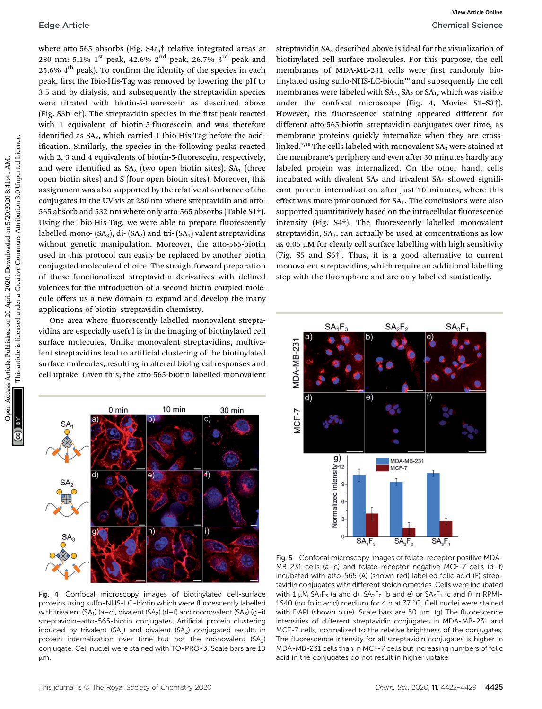where atto-565 absorbs (Fig. S4a,† relative integrated areas at 280 nm: 5.1%  $1^{\text{st}}$  peak, 42.6%  $2^{\text{nd}}$  peak, 26.7%  $3^{\text{rd}}$  peak and  $25.6\%$  4<sup>th</sup> peak). To confirm the identity of the species in each peak, first the Ibio-His-Tag was removed by lowering the pH to 3.5 and by dialysis, and subsequently the streptavidin species were titrated with biotin-5-fluorescein as described above (Fig.  $S3b-e\dagger$ ). The streptavidin species in the first peak reacted with 1 equivalent of biotin-5-fluorescein and was therefore identified as SA<sub>3</sub>, which carried 1 Ibio-His-Tag before the acidification. Similarly, the species in the following peaks reacted with 2, 3 and 4 equivalents of biotin-5-fluorescein, respectively, and were identified as  $SA<sub>2</sub>$  (two open biotin sites),  $SA<sub>1</sub>$  (three open biotin sites) and S (four open biotin sites). Moreover, this assignment was also supported by the relative absorbance of the conjugates in the UV-vis at 280 nm where streptavidin and atto-565 absorb and 532 nm where only atto-565 absorbs (Table S1†). Using the Ibio-His-Tag, we were able to prepare fluorescently labelled mono-  $(SA_3)$ , di- $(SA_2)$  and tri- $(SA_1)$  valent streptavidins without genetic manipulation. Moreover, the atto-565-biotin used in this protocol can easily be replaced by another biotin conjugated molecule of choice. The straightforward preparation of these functionalized streptavidin derivatives with defined valences for the introduction of a second biotin coupled molecule offers us a new domain to expand and develop the many applications of biotin–streptavidin chemistry. Edge Article<br>
Shows a move of the control of the control of the common and the common and the common and the common and the common and the common and the common and the common and the common and the common and the common a

One area where fluorescently labelled monovalent streptavidins are especially useful is in the imaging of biotinylated cell surface molecules. Unlike monovalent streptavidins, multivalent streptavidins lead to artificial clustering of the biotinylated surface molecules, resulting in altered biological responses and cell uptake. Given this, the atto-565-biotin labelled monovalent



Fig. 4 Confocal microscopy images of biotinylated cell-surface proteins using sulfo-NHS-LC-biotin which were fluorescently labelled with trivalent (SA<sub>1</sub>) (a–c), divalent (SA<sub>2</sub>) (d–f) and monovalent (SA<sub>3</sub>) (g–i) streptavidin–atto-565-biotin conjugates. Artificial protein clustering induced by trivalent (SA<sub>1</sub>) and divalent (SA<sub>2</sub>) conjugated results in protein internalization over time but not the monovalent  $(SA<sub>3</sub>)$ conjugate. Cell nuclei were stained with TO-PRO-3. Scale bars are 10  $µm$ .

streptavidin SA<sub>3</sub> described above is ideal for the visualization of biotinylated cell surface molecules. For this purpose, the cell membranes of MDA-MB-231 cells were first randomly biotinylated using sulfo-NHS-LC-biotin<sup>10</sup> and subsequently the cell membranes were labeled with  $SA<sub>3</sub>, SA<sub>2</sub>$  or  $SA<sub>1</sub>,$  which was visible under the confocal microscope (Fig. 4, Movies S1–S3†). However, the fluorescence staining appeared different for different atto-565-biotin–streptavidin conjugates over time, as membrane proteins quickly internalize when they are crosslinked.<sup>7,10</sup> The cells labeled with monovalent  $SA<sub>3</sub>$  were stained at the membrane's periphery and even after 30 minutes hardly any labeled protein was internalized. On the other hand, cells incubated with divalent  $SA<sub>2</sub>$  and trivalent  $SA<sub>1</sub>$  showed significant protein internalization after just 10 minutes, where this effect was more pronounced for  $SA<sub>1</sub>$ . The conclusions were also supported quantitatively based on the intracellular fluorescence intensity (Fig.  $S4\dagger$ ). The fluorescently labelled monovalent streptavidin,  $SA<sub>3</sub>$ , can actually be used at concentrations as low as  $0.05 \mu M$  for clearly cell surface labelling with high sensitivity (Fig. S5 and S6†). Thus, it is a good alternative to current monovalent streptavidins, which require an additional labelling step with the fluorophore and are only labelled statistically.



Fig. 5 Confocal microscopy images of folate-receptor positive MDA-MB-231 cells (a–c) and folate-receptor negative MCF-7 cells (d–f) incubated with atto-565 (A) (shown red) labelled folic acid (F) streptavidin conjugates with different stoichiometries. Cells were incubated with 1  $\mu$ M SA<sub>1</sub>F<sub>3</sub> (a and d), SA<sub>2</sub>F<sub>2</sub> (b and e) or SA<sub>3</sub>F<sub>1</sub> (c and f) in RPMI-1640 (no folic acid) medium for 4 h at 37 °C. Cell nuclei were stained with DAPI (shown blue). Scale bars are 50  $\mu$ m. (g) The fluorescence intensities of different streptavidin conjugates in MDA-MB-231 and MCF-7 cells, normalized to the relative brightness of the conjugates. The fluorescence intensity for all streptavidin conjugates is higher in MDA-MB-231 cells than in MCF-7 cells but increasing numbers of folic acid in the conjugates do not result in higher uptake.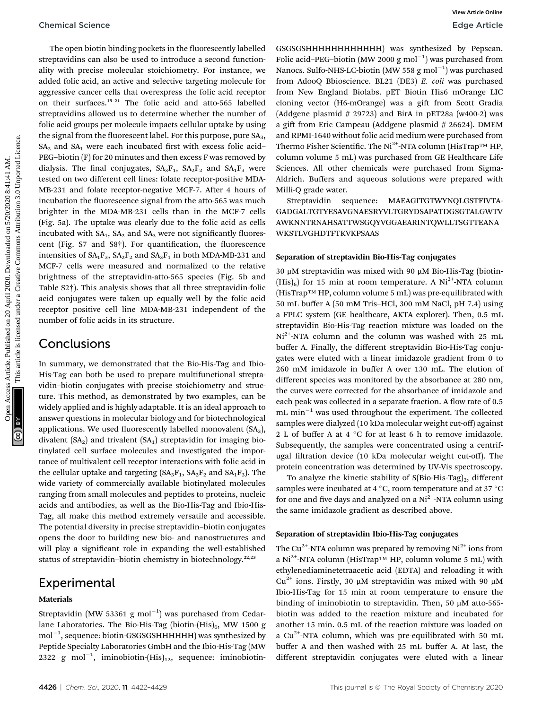The open biotin binding pockets in the fluorescently labelled streptavidins can also be used to introduce a second functionality with precise molecular stoichiometry. For instance, we added folic acid, an active and selective targeting molecule for aggressive cancer cells that overexpress the folic acid receptor on their surfaces.<sup>19</sup>–<sup>21</sup> The folic acid and atto-565 labelled streptavidins allowed us to determine whether the number of folic acid groups per molecule impacts cellular uptake by using the signal from the fluorescent label. For this purpose, pure  $SA<sub>3</sub>$ ,  $SA<sub>2</sub>$  and  $SA<sub>1</sub>$  were each incubated first with excess folic acid– PEG–biotin (F) for 20 minutes and then excess F was removed by dialysis. The final conjugates,  $SA_3F_1$ ,  $SA_2F_2$  and  $SA_1F_3$  were tested on two different cell lines: folate receptor-positive MDA-MB-231 and folate receptor-negative MCF-7. After 4 hours of incubation the fluorescence signal from the atto-565 was much brighter in the MDA-MB-231 cells than in the MCF-7 cells (Fig. 5a). The uptake was clearly due to the folic acid as cells incubated with  $SA<sub>1</sub>$ ,  $SA<sub>2</sub>$  and  $SA<sub>3</sub>$  were not significantly fluorescent (Fig. S7 and S8†). For quantification, the fluorescence intensities of  $SA_1F_3$ ,  $SA_2F_2$  and  $SA_3F_1$  in both MDA-MB-231 and MCF-7 cells were measured and normalized to the relative brightness of the streptavidin-atto-565 species (Fig. 5b and Table S2†). This analysis shows that all three streptavidin-folic acid conjugates were taken up equally well by the folic acid receptor positive cell line MDA-MB-231 independent of the number of folic acids in its structure. Chemical Science<br>
The open high article is included on 2020. The published on 2020 are the state of the Chemical Creative Common and the common and the common and the common and the common and the common and the common an

### **Conclusions**

In summary, we demonstrated that the Bio-His-Tag and Ibio-His-Tag can both be used to prepare multifunctional streptavidin–biotin conjugates with precise stoichiometry and structure. This method, as demonstrated by two examples, can be widely applied and is highly adaptable. It is an ideal approach to answer questions in molecular biology and for biotechnological applications. We used fluorescently labelled monovalent  $(SA<sub>3</sub>)$ , divalent  $(SA<sub>2</sub>)$  and trivalent  $(SA<sub>1</sub>)$  streptavidin for imaging biotinylated cell surface molecules and investigated the importance of multivalent cell receptor interactions with folic acid in the cellular uptake and targeting  $(SA_3F_1, SA_2F_2$  and  $SA_1F_3$ ). The wide variety of commercially available biotinylated molecules ranging from small molecules and peptides to proteins, nucleic acids and antibodies, as well as the Bio-His-Tag and Ibio-His-Tag, all make this method extremely versatile and accessible. The potential diversity in precise streptavidin–biotin conjugates opens the door to building new bio- and nanostructures and will play a significant role in expanding the well-established status of streptavidin-biotin chemistry in biotechnology.<sup>22,23</sup>

### Experimental

#### Materials

Streptavidin (MW 53361  ${\rm g}$  mol $^{-1})$  was purchased from Cedarlane Laboratories. The Bio-His-Tag (biotin- $(His)_6$ , MW 1500 g mol $^{-1}$ , sequence: biotin-GSGSGSHHHHHHH) was synthesized by Peptide Specialty Laboratories GmbH and the Ibio-His-Tag (MW 2322 g mol<sup>-1</sup>, iminobiotin-(His)<sub>12</sub>, sequence: iminobiotinGSGSGSHHHHHHHHHHHH) was synthesized by Pepscan. Folic acid-PEG-biotin (MW 2000 g mol<sup>-1</sup>) was purchased from Nanocs. Sulfo-NHS-LC-biotin (MW 558  ${\rm g}$  mol $^{-1})$  was purchased from AdooQ Bbioscience. BL21 (DE3) E. coli was purchased from New England Biolabs. pET Biotin His6 mOrange LIC cloning vector (H6-mOrange) was a gift from Scott Gradia (Addgene plasmid  $# 29723$ ) and BirA in pET28a (w400-2) was a gift from Eric Campeau (Addgene plasmid  $\# 26624$ ). DMEM and RPMI-1640 without folic acid medium were purchased from Thermo Fisher Scientific. The Ni<sup>2+</sup>-NTA column (HisTrap<sup>TM</sup> HP, column volume 5 mL) was purchased from GE Healthcare Life Sciences. All other chemicals were purchased from Sigma-Aldrich. Buffers and aqueous solutions were prepared with Milli-Q grade water.

Streptavidin sequence: MAEAGITGTWYNQLGSTFIVTA-GADGALTGTYESAVGNAESRYVLTGRYDSAPATDGSGTALGWTV AWKNNTRNAHSATTWSGQYVGGAEARINTQWLLTSGTTEANA WKSTLVGHDTFTKVKPSAAS

#### Separation of streptavidin Bio-His-Tag conjugates

 $30 \mu$ M streptavidin was mixed with 90  $\mu$ M Bio-His-Tag (biotin- $(His)_6$ ) for 15 min at room temperature. A Ni<sup>2+</sup>-NTA column (HisTrap™ HP, column volume 5 mL) was pre-equilibrated with 50 mL buffer A (50 mM Tris–HCl, 300 mM NaCl, pH 7.4) using a FPLC system (GE healthcare, AKTA explorer). Then, 0.5 mL streptavidin Bio-His-Tag reaction mixture was loaded on the  $Ni<sup>2+</sup>-NTA$  column and the column was washed with 25 mL buffer A. Finally, the different streptavidin Bio-His-Tag conjugates were eluted with a linear imidazole gradient from 0 to 260 mM imidazole in buffer A over 130 mL. The elution of different species was monitored by the absorbance at 280 nm, the curves were corrected for the absorbance of imidazole and each peak was collected in a separate fraction. A flow rate of 0.5 mL min<sup>-1</sup> was used throughout the experiment. The collected samples were dialyzed (10 kDa molecular weight cut-off) against 2 L of buffer A at 4  $\degree$ C for at least 6 h to remove imidazole. Subsequently, the samples were concentrated using a centrifugal filtration device (10 kDa molecular weight cut-off). The protein concentration was determined by UV-Vis spectroscopy.

To analyze the kinetic stability of  $S(Bio-His-Tag)_2$ , different samples were incubated at 4  $\mathrm{^{\circ}C}$ , room temperature and at 37  $\mathrm{^{\circ}C}$ for one and five days and analyzed on a  $Ni<sup>2+</sup>-NTA$  column using the same imidazole gradient as described above.

#### Separation of streptavidin Ibio-His-Tag conjugates

The Cu<sup>2+</sup>-NTA column was prepared by removing  $Ni<sup>2+</sup>$  ions from a Ni<sup>2+</sup>-NTA column (HisTrap<sup>™</sup> HP, column volume 5 mL) with ethylenediaminetetraacetic acid (EDTA) and reloading it with  $Cu^{2+}$  ions. Firstly, 30  $\mu$ M streptavidin was mixed with 90  $\mu$ M Ibio-His-Tag for 15 min at room temperature to ensure the binding of iminobiotin to streptavidin. Then, 50  $\mu$ M atto-565biotin was added to the reaction mixture and incubated for another 15 min. 0.5 mL of the reaction mixture was loaded on a  $Cu^{2+}$ -NTA column, which was pre-equilibrated with 50 mL buffer A and then washed with 25 mL buffer A. At last, the different streptavidin conjugates were eluted with a linear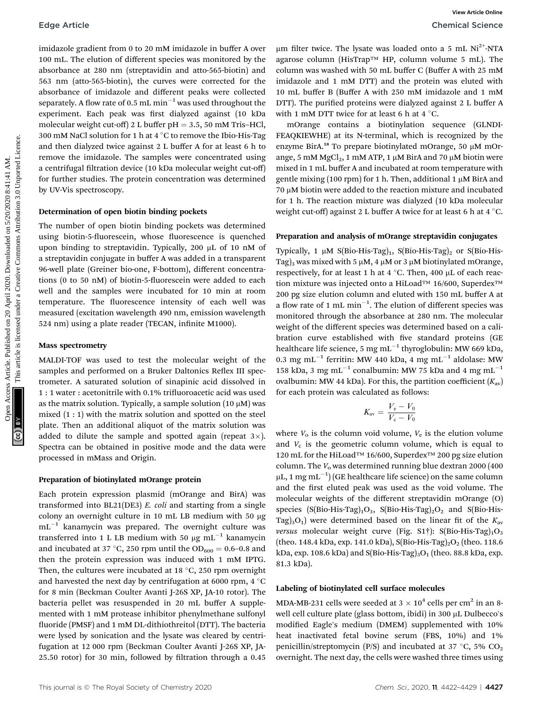imidazole gradient from 0 to 20 mM imidazole in buffer A over 100 mL. The elution of different species was monitored by the absorbance at 280 nm (streptavidin and atto-565-biotin) and 563 nm (atto-565-biotin), the curves were corrected for the absorbance of imidazole and different peaks were collected separately. A flow rate of 0.5  $\rm{mL}\,\rm{min}^{-1}$  was used throughout the experiment. Each peak was first dialyzed against (10 kDa molecular weight cut-off) 2 L buffer  $pH = 3.5$ , 50 mM Tris–HCl, 300 mM NaCl solution for 1 h at 4  $\degree$ C to remove the Ibio-His-Tag and then dialyzed twice against 2 L buffer A for at least 6 h to remove the imidazole. The samples were concentrated using a centrifugal filtration device (10 kDa molecular weight cut-off) for further studies. The protein concentration was determined by UV-Vis spectroscopy. Edge Article<br>
includes gradient from 0.10 and middlend in buffer A over the middlend operator (May 119) and the product include on 1. This cluster are common includes and the middlend on the same of the middlend on 20 Apr

#### Determination of open biotin binding pockets

The number of open biotin binding pockets was determined using biotin-5-fluorescein, whose fluorescence is quenched upon binding to streptavidin. Typically, 200 µL of 10 nM of a streptavidin conjugate in buffer A was added in a transparent 96-well plate (Greiner bio-one, F-bottom), different concentrations  $(0 \text{ to } 50 \text{ nM})$  of biotin-5-fluorescein were added to each well and the samples were incubated for 10 min at room temperature. The fluorescence intensity of each well was measured (excitation wavelength 490 nm, emission wavelength 524 nm) using a plate reader (TECAN, infinite M1000).

#### Mass spectrometry

MALDI-TOF was used to test the molecular weight of the samples and performed on a Bruker Daltonics Reflex III spectrometer. A saturated solution of sinapinic acid dissolved in 1 : 1 water : acetonitrile with 0.1% trifluoroacetic acid was used as the matrix solution. Typically, a sample solution  $(10 \mu M)$  was mixed (1 : 1) with the matrix solution and spotted on the steel plate. Then an additional aliquot of the matrix solution was added to dilute the sample and spotted again (repeat  $3\times$ ). Spectra can be obtained in positive mode and the data were processed in mMass and Origin.

#### Preparation of biotinylated mOrange protein

Each protein expression plasmid (mOrange and BirA) was transformed into BL21(DE3) E. coli and starting from a single colony an overnight culture in 10 mL LB medium with 50 mg  $\text{mL}^{-1}$  kanamycin was prepared. The overnight culture was transferred into 1 L LB medium with 50  $\mu{\rm g\;m}$ L $^{-1}$  kanamycin and incubated at 37 °C, 250 rpm until the  $OD_{600} = 0.6$ –0.8 and then the protein expression was induced with 1 mM IPTG. Then, the cultures were incubated at 18  $\degree$ C, 250 rpm overnight and harvested the next day by centrifugation at 6000 rpm, 4  $\degree$ C for 8 min (Beckman Coulter Avanti J-26S XP, JA-10 rotor). The bacteria pellet was resuspended in 20 mL buffer A supplemented with 1 mM protease inhibitor phenylmethane sulfonyl fluoride (PMSF) and 1 mM DL-dithiothreitol (DTT). The bacteria were lysed by sonication and the lysate was cleared by centrifugation at 12 000 rpm (Beckman Coulter Avanti J-26S XP, JA-25.50 rotor) for 30 min, followed by filtration through a 0.45

mOrange contains a biotinylation sequence (GLNDI-FEAQKIEWHE) at its N-terminal, which is recognized by the enzyme BirA.<sup>18</sup> To prepare biotinylated mOrange, 50 µM mOrange, 5 mM  $MgCl<sub>2</sub>$ , 1 mM ATP, 1 µM BirA and 70 µM biotin were mixed in 1 mL buffer A and incubated at room temperature with gentle mixing (100 rpm) for 1 h. Then, additional 1  $\mu$ M BirA and  $70 \mu$ M biotin were added to the reaction mixture and incubated for 1 h. The reaction mixture was dialyzed (10 kDa molecular weight cut-off) against 2 L buffer A twice for at least 6 h at  $4^{\circ}$ C.

#### Preparation and analysis of mOrange streptavidin conjugates

Typically, 1  $\mu$ M S(Bio-His-Tag)<sub>1</sub>, S(Bio-His-Tag)<sub>2</sub> or S(Bio-His-Tag)<sub>3</sub> was mixed with 5  $\mu$ M, 4  $\mu$ M or 3  $\mu$ M biotinylated mOrange, respectively, for at least 1 h at 4  $^{\circ}$ C. Then, 400 µL of each reaction mixture was injected onto a HiLoad™ 16/600, Superdex™ 200 pg size elution column and eluted with 150 mL buffer A at a flow rate of 1 mL min<sup>-1</sup>. The elution of different species was monitored through the absorbance at 280 nm. The molecular weight of the different species was determined based on a calibration curve established with five standard proteins (GE healthcare life science, 5 mg mL $^{-1}$  thyroglobulin: MW 669 kDa, 0.3 mg mL<sup>-1</sup> ferritin: MW 440 kDa, 4 mg mL<sup>-1</sup> aldolase: MW 158 kDa, 3 mg mL<sup>-1</sup> conalbumin: MW 75 kDa and 4 mg mL<sup>-1</sup> ovalbumin: MW 44 kDa). For this, the partition coefficient  $(K_{av})$ for each protein was calculated as follows:

$$
K_{\rm av} = \frac{V_{\rm e} - V_0}{V_{\rm c} - V_0}
$$

where  $V_0$  is the column void volume,  $V_e$  is the elution volume and  $V_c$  is the geometric column volume, which is equal to 120 mL for the HiLoad™ 16/600, Superdex™ 200 pg size elution column. The  $V_0$  was determined running blue dextran 2000 (400)  $\rm \mu L, 1 \,mg\, \rm mL^{-1})$  (GE healthcare life science) on the same column and the first eluted peak was used as the void volume. The molecular weights of the different streptavidin mOrange (O) species (S(Bio-His-Tag)<sub>1</sub>O<sub>3</sub>, S(Bio-His-Tag)<sub>2</sub>O<sub>2</sub> and S(Bio-His-Tag)<sub>3</sub>O<sub>1</sub>) were determined based on the linear fit of the  $K_{\text{av}}$ versus molecular weight curve (Fig. S1†): S(Bio-His-Tag)<sub>1</sub>O<sub>3</sub> (theo. 148.4 kDa, exp. 141.0 kDa), S(Bio-His-Tag)<sub>2</sub>O<sub>2</sub> (theo. 118.6 kDa, exp. 108.6 kDa) and S(Bio-His-Tag)<sub>3</sub>O<sub>1</sub> (theo. 88.8 kDa, exp. 81.3 kDa).

#### Labeling of biotinylated cell surface molecules

MDA-MB-231 cells were seeded at  $3 \times 10^4$  cells per cm<sup>2</sup> in an 8well cell culture plate (glass bottom, ibidi) in 300 µL Dulbecco's modified Eagle's medium (DMEM) supplemented with 10% heat inactivated fetal bovine serum (FBS, 10%) and 1% penicillin/streptomycin (P/S) and incubated at 37 °C, 5%  $CO<sub>2</sub>$ overnight. The next day, the cells were washed three times using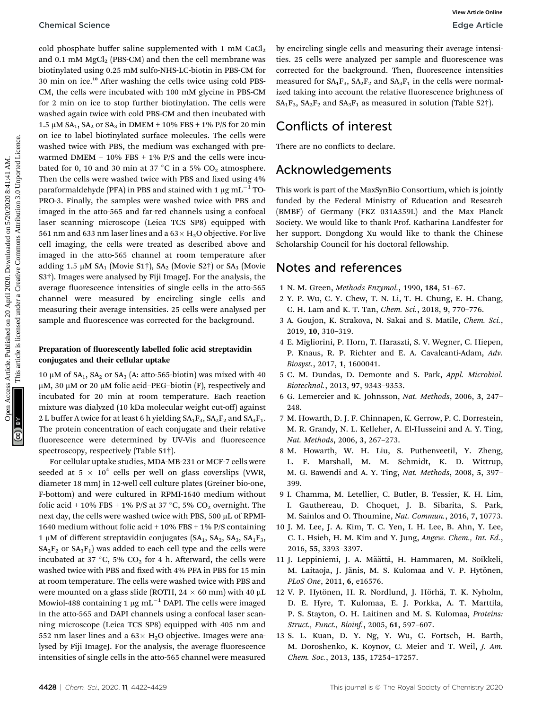cold phosphate buffer saline supplemented with 1 mM  $CaCl<sub>2</sub>$ and 0.1 mM  $MgCl<sub>2</sub>$  (PBS-CM) and then the cell membrane was biotinylated using 0.25 mM sulfo-NHS-LC-biotin in PBS-CM for 30 min on ice.<sup>10</sup> After washing the cells twice using cold PBS-CM, the cells were incubated with 100 mM glycine in PBS-CM for 2 min on ice to stop further biotinylation. The cells were washed again twice with cold PBS-CM and then incubated with 1.5  $\mu$ M SA<sub>1</sub>, SA<sub>2</sub> or SA<sub>3</sub> in DMEM + 10% FBS + 1% P/S for 20 min on ice to label biotinylated surface molecules. The cells were washed twice with PBS, the medium was exchanged with prewarmed DMEM  $+$  10% FBS  $+$  1% P/S and the cells were incubated for 0, 10 and 30 min at 37 °C in a 5%  $CO<sub>2</sub>$  atmosphere. Then the cells were washed twice with PBS and fixed using 4% paraformaldehyde (PFA) in PBS and stained with 1  $\mu\mathrm{g\,mL^{-1}\,TO^{-1}}$ PRO-3. Finally, the samples were washed twice with PBS and imaged in the atto-565 and far-red channels using a confocal laser scanning microscope (Leica TCS SP8) equipped with 561 nm and 633 nm laser lines and a  $63 \times H_2O$  objective. For live cell imaging, the cells were treated as described above and imaged in the atto-565 channel at room temperature after adding 1.5  $\mu$ M SA<sub>1</sub> (Movie S1†), SA<sub>2</sub> (Movie S2†) or SA<sub>3</sub> (Movie S3†). Images were analysed by Fiji ImageJ. For the analysis, the average fluorescence intensities of single cells in the atto-565 channel were measured by encircling single cells and measuring their average intensities. 25 cells were analysed per sample and fluorescence was corrected for the background. Chemical Science<br>
and a Insulate subject point of the references are subsections are complete the access are complete the references are the set of the measure of the measure of the set of the set of the set of the set of

#### Preparation of fluorescently labelled folic acid streptavidin conjugates and their cellular uptake

10  $\mu$ M of SA<sub>1</sub>, SA<sub>2</sub> or SA<sub>3</sub> (A: atto-565-biotin) was mixed with 40  $\mu$ M, 30  $\mu$ M or 20  $\mu$ M folic acid–PEG–biotin (F), respectively and incubated for 20 min at room temperature. Each reaction mixture was dialyzed (10 kDa molecular weight cut-off) against 2 L buffer A twice for at least 6 h yielding  $SA_1F_3$ ,  $SA_2F_2$  and  $SA_3F_1$ . The protein concentration of each conjugate and their relative fluorescence were determined by UV-Vis and fluorescence spectroscopy, respectively (Table S1†).

For cellular uptake studies, MDA-MB-231 or MCF-7 cells were seeded at 5  $\times$  10<sup>4</sup> cells per well on glass coverslips (VWR, diameter 18 mm) in 12-well cell culture plates (Greiner bio-one, F-bottom) and were cultured in RPMI-1640 medium without folic acid + 10% FBS + 1% P/S at 37 °C, 5%  $CO<sub>2</sub>$  overnight. The next day, the cells were washed twice with PBS, 500  $\mu$ L of RPMI-1640 medium without folic acid + 10% FBS + 1% P/S containing 1 µM of different streptavidin conjugates (SA<sub>1</sub>, SA<sub>2</sub>, SA<sub>3</sub>, SA<sub>1</sub>F<sub>3</sub>,  $SA_2F_2$  or  $SA_3F_1$ ) was added to each cell type and the cells were incubated at 37 °C, 5%  $CO<sub>2</sub>$  for 4 h. Afterward, the cells were washed twice with PBS and fixed with 4% PFA in PBS for 15 min at room temperature. The cells were washed twice with PBS and were mounted on a glass slide (ROTH,  $24 \times 60$  mm) with 40  $\mu$ L Mowiol-488 containing 1  $\mu{\rm g\,mL}^{-1}$  DAPI. The cells were imaged in the atto-565 and DAPI channels using a confocal laser scanning microscope (Leica TCS SP8) equipped with 405 nm and 552 nm laser lines and a  $63 \times H_2O$  objective. Images were analysed by Fiji ImageJ. For the analysis, the average fluorescence intensities of single cells in the atto-565 channel were measured

by encircling single cells and measuring their average intensities. 25 cells were analyzed per sample and fluorescence was corrected for the background. Then, fluorescence intensities measured for  $SA_1F_3$ ,  $SA_2F_2$  and  $SA_3F_1$  in the cells were normalized taking into account the relative fluorescence brightness of  $SA_1F_3$ ,  $SA_2F_2$  and  $SA_3F_1$  as measured in solution (Table S2†).

### Conflicts of interest

There are no conflicts to declare.

### Acknowledgements

This work is part of the MaxSynBio Consortium, which is jointly funded by the Federal Ministry of Education and Research (BMBF) of Germany (FKZ 031A359L) and the Max Planck Society. We would like to thank Prof. Katharina Landfester for her support. Dongdong Xu would like to thank the Chinese Scholarship Council for his doctoral fellowship.

### Notes and references

- 1 N. M. Green, Methods Enzymol., 1990, 184, 51–67.
- 2 Y. P. Wu, C. Y. Chew, T. N. Li, T. H. Chung, E. H. Chang, C. H. Lam and K. T. Tan, Chem. Sci., 2018, 9, 770–776.
- 3 A. Goujon, K. Strakova, N. Sakai and S. Matile, Chem. Sci., 2019, 10, 310–319.
- 4 E. Migliorini, P. Horn, T. Haraszti, S. V. Wegner, C. Hiepen, P. Knaus, R. P. Richter and E. A. Cavalcanti-Adam, Adv. Biosyst., 2017, 1, 1600041.
- 5 C. M. Dundas, D. Demonte and S. Park, Appl. Microbiol. Biotechnol., 2013, 97, 9343–9353.
- 6 G. Lemercier and K. Johnsson, Nat. Methods, 2006, 3, 247– 248.
- 7 M. Howarth, D. J. F. Chinnapen, K. Gerrow, P. C. Dorrestein, M. R. Grandy, N. L. Kelleher, A. El-Husseini and A. Y. Ting, Nat. Methods, 2006, 3, 267–273.
- 8 M. Howarth, W. H. Liu, S. Puthenveetil, Y. Zheng, L. F. Marshall, M. M. Schmidt, K. D. Wittrup, M. G. Bawendi and A. Y. Ting, Nat. Methods, 2008, 5, 397– 399.
- 9 I. Chamma, M. Letellier, C. Butler, B. Tessier, K. H. Lim, I. Gauthereau, D. Choquet, J. B. Sibarita, S. Park, M. Sainlos and O. Thoumine, Nat. Commun., 2016, 7, 10773.
- 10 J. M. Lee, J. A. Kim, T. C. Yen, I. H. Lee, B. Ahn, Y. Lee, C. L. Hsieh, H. M. Kim and Y. Jung, Angew. Chem., Int. Ed., 2016, 55, 3393–3397.
- 11 J. Leppiniemi, J. A. Määttä, H. Hammaren, M. Soikkeli, M. Laitaoja, J. Jänis, M. S. Kulomaa and V. P. Hytönen, PLoS One, 2011, 6, e16576.
- 12 V. P. Hytönen, H. R. Nordlund, J. Hörhä, T. K. Nyholm, D. E. Hyre, T. Kulomaa, E. J. Porkka, A. T. Marttila, P. S. Stayton, O. H. Laitinen and M. S. Kulomaa, Proteins: Struct., Funct., Bioinf., 2005, 61, 597–607.
- 13 S. L. Kuan, D. Y. Ng, Y. Wu, C. Fortsch, H. Barth, M. Doroshenko, K. Koynov, C. Meier and T. Weil, J. Am. Chem. Soc., 2013, 135, 17254–17257.